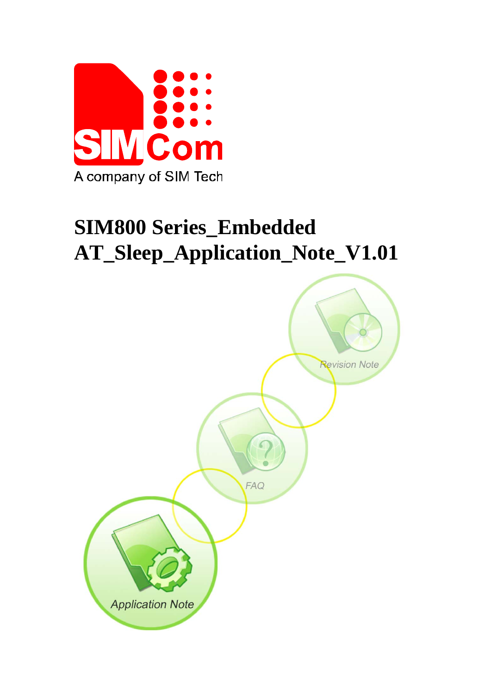

# **SIM800 Series\_Embedded AT\_Sleep\_Application\_Note\_V1.01**

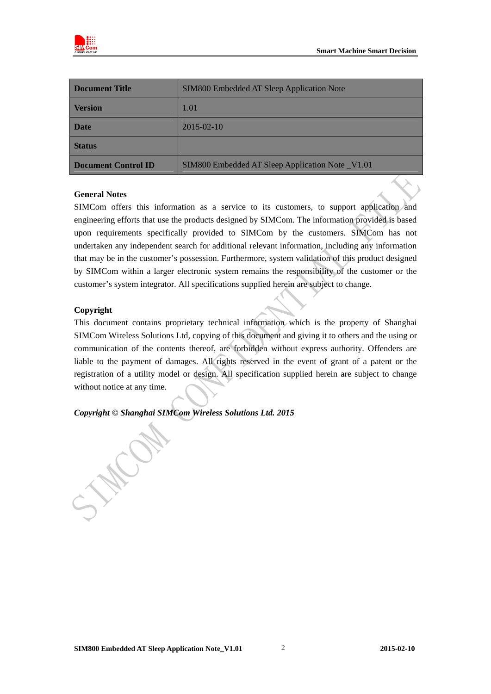

| Document Title                                                                 | SIM800 Embedded AT Sleep Application Note |  |
|--------------------------------------------------------------------------------|-------------------------------------------|--|
| <b>Version</b>                                                                 | 1.01                                      |  |
| <b>Date</b>                                                                    | $2015 - 02 - 10$                          |  |
| <b>Status</b>                                                                  |                                           |  |
| <b>Document Control ID</b><br>SIM800 Embedded AT Sleep Application Note _V1.01 |                                           |  |

#### **General Notes**

SIMCom offers this information as a service to its customers, to support application and engineering efforts that use the products designed by SIMCom. The information provided is based upon requirements specifically provided to SIMCom by the customers. SIMCom has not undertaken any independent search for additional relevant information, including any information that may be in the customer's possession. Furthermore, system validation of this product designed by SIMCom within a larger electronic system remains the responsibility of the customer or the customer's system integrator. All specifications supplied herein are subject to change.

#### **Copyright**

This document contains proprietary technical information which is the property of Shanghai SIMCom Wireless Solutions Ltd, copying of this document and giving it to others and the using or communication of the contents thereof, are forbidden without express authority. Offenders are liable to the payment of damages. All rights reserved in the event of grant of a patent or the registration of a utility model or design. All specification supplied herein are subject to change without notice at any time.

*Copyright © Shanghai SIMCom Wireless Solutions Ltd. 2015* 

 $\frac{1}{2}$ 

WC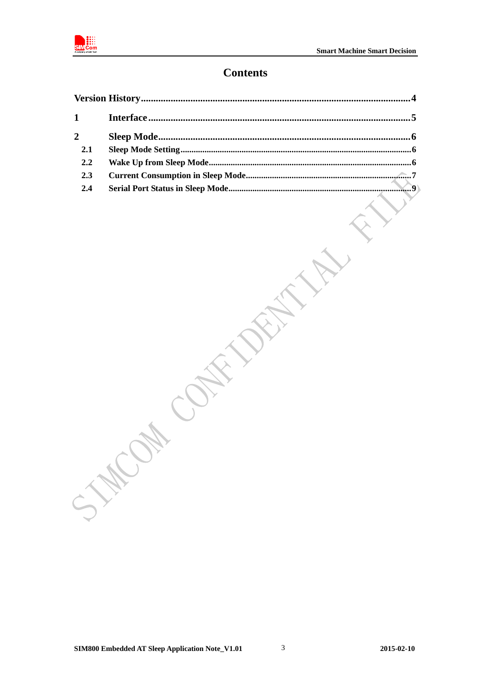

# **Contents**

|                | .4 |
|----------------|----|
| $\mathbf{1}$   |    |
| $\overline{2}$ |    |
| 2.1            |    |
| 2.2            |    |
| 2.3            |    |
| 2.4            |    |
|                |    |
|                |    |
|                | 大家 |
|                |    |
|                |    |

**HILLOW CONTAINS**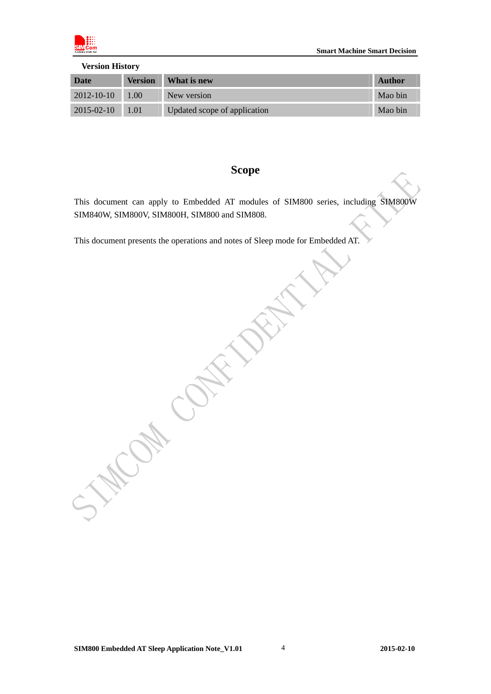

<span id="page-3-0"></span>

| <b>Version History</b> |                |                              |         |  |
|------------------------|----------------|------------------------------|---------|--|
| Date                   | <b>Version</b> | What is new                  | Author  |  |
| $2012 - 10 - 10$       | 1.00           | New version                  | Mao bin |  |
| $2015 - 02 - 10$       | 1.01           | Updated scope of application | Mao bin |  |

# **Scope**

This document can apply to Embedded AT modules of SIM800 series, including SIM800W SIM840W, SIM800V, SIM800H, SIM800 and SIM808.

This document presents the operations and notes of Sleep mode for Embedded AT.

**ON CONTROL** 

ICON CON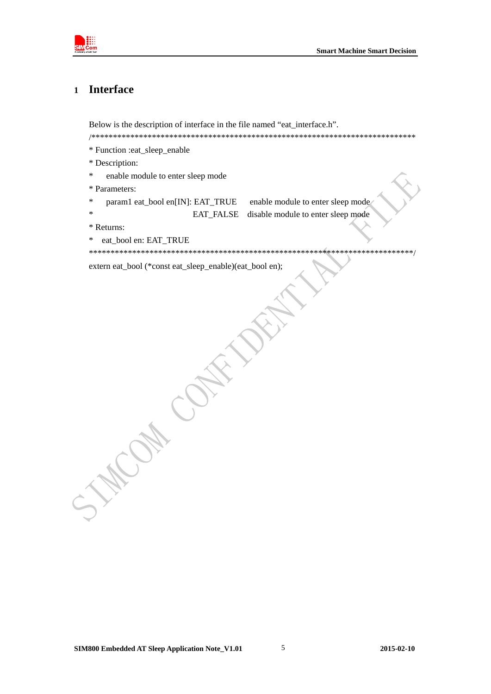

#### <span id="page-4-0"></span>**Interface**  $\mathbf{1}$

Below is the description of interface in the file named "eat\_interface.h". 

- \* Function :eat\_sleep\_enable
- \* Description:
- $\ast$ enable module to enter sleep mode
- \* Parameters:
- $\ast$ param1 eat\_bool en[IN]: EAT\_TRUE

enable module to enter sleep mode EAT\_FALSE disable module to enter sleep mode

- \* Returns:
- $\ast$ eat bool en: EAT TRUE

extern eat\_bool (\*const eat\_sleep\_enable)(eat\_bool en);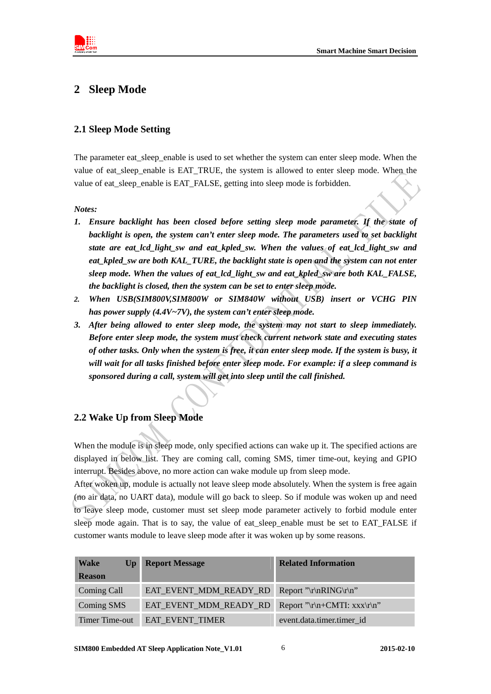<span id="page-5-0"></span>

# **2 Sleep Mode**

### <span id="page-5-1"></span>**2.1 Sleep Mode Setting**

The parameter eat\_sleep\_enable is used to set whether the system can enter sleep mode. When the value of eat sleep enable is EAT\_TRUE, the system is allowed to enter sleep mode. When the value of eat\_sleep\_enable is EAT\_FALSE, getting into sleep mode is forbidden.

#### *Notes:*

- *1. Ensure backlight has been closed before setting sleep mode parameter. If the state of backlight is open, the system can't enter sleep mode. The parameters used to set backlight state are eat\_lcd\_light\_sw and eat\_kpled\_sw. When the values of eat\_lcd\_light\_sw and eat\_kpled\_sw are both KAL\_TURE, the backlight state is open and the system can not enter sleep mode. When the values of eat\_lcd\_light\_sw and eat\_kpled\_sw are both KAL\_FALSE, the backlight is closed, then the system can be set to enter sleep mode.*
- *2. When USB(SIM800V,SIM800W or SIM840W without USB) insert or VCHG PIN has power supply (4.4V~7V), the system can't enter sleep mode.*
- *3. After being allowed to enter sleep mode, the system may not start to sleep immediately. Before enter sleep mode, the system must check current network state and executing states of other tasks. Only when the system is free, it can enter sleep mode. If the system is busy, it will wait for all tasks finished before enter sleep mode. For example: if a sleep command is sponsored during a call, system will get into sleep until the call finished.*

# <span id="page-5-2"></span>**2.2 Wake Up from Sleep Mode**

When the module is in sleep mode, only specified actions can wake up it. The specified actions are displayed in below list. They are coming call, coming SMS, timer time-out, keying and GPIO interrupt. Besides above, no more action can wake module up from sleep mode.

After woken up, module is actually not leave sleep mode absolutely. When the system is free again (no air data, no UART data), module will go back to sleep. So if module was woken up and need to leave sleep mode, customer must set sleep mode parameter actively to forbid module enter sleep mode again. That is to say, the value of eat sleep enable must be set to EAT\_FALSE if customer wants module to leave sleep mode after it was woken up by some reasons.

| <b>Wake</b><br>$\mathbf{U}\mathbf{p}$ | <b>Report Message</b>  | <b>Related Information</b>  |
|---------------------------------------|------------------------|-----------------------------|
| <b>Reason</b>                         |                        |                             |
| Coming Call                           | EAT_EVENT_MDM_READY_RD | Report "\r\nRING\r\n"       |
| Coming SMS                            | EAT_EVENT_MDM_READY_RD | Report "\r\n+CMTI: xxx\r\n" |
| Timer Time-out                        | EAT_EVENT_TIMER        | event.data.timer.timer id   |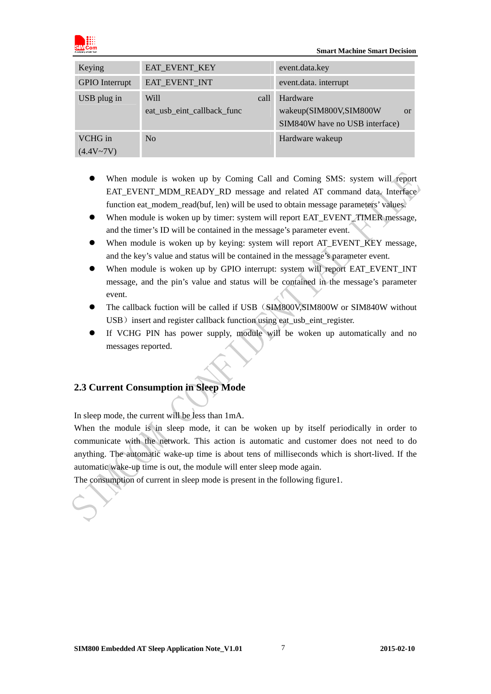

#### **Smart Machine Smart Decision**

| Keying                   | EAT_EVENT_KEY                              | event.data.key                                                                        |
|--------------------------|--------------------------------------------|---------------------------------------------------------------------------------------|
| <b>GPIO</b> Interrupt    | EAT_EVENT_INT                              | event.data. interrupt                                                                 |
| USB plug in              | Will<br>call<br>eat usb eint callback func | Hardware<br>wakeup(SIM800V,SIM800W<br><sub>or</sub><br>SIM840W have no USB interface) |
| VCHG in<br>$(4.4V - 7V)$ | No                                         | Hardware wakeup                                                                       |

- When module is woken up by Coming Call and Coming SMS: system will report EAT\_EVENT\_MDM\_READY\_RD message and related AT command data. Interface function eat\_modem\_read(buf, len) will be used to obtain message parameters' values.
- When module is woken up by timer: system will report EAT\_EVENT\_TIMER message, and the timer's ID will be contained in the message's parameter event.
- When module is woken up by keying: system will report AT\_EVENT\_KEY message, and the key's value and status will be contained in the message's parameter event.
- When module is woken up by GPIO interrupt: system will report EAT\_EVENT\_INT message, and the pin's value and status will be contained in the message's parameter event.
- The callback fuction will be called if USB(SIM800V,SIM800W or SIM840W without USB) insert and register callback function using eat\_usb\_eint\_register.
- If VCHG PIN has power supply, module will be woken up automatically and no messages reported.

# <span id="page-6-0"></span>**2.3 Current Consumption in Sleep Mode**

In sleep mode, the current will be less than 1mA.

When the module is in sleep mode, it can be woken up by itself periodically in order to communicate with the network. This action is automatic and customer does not need to do anything. The automatic wake-up time is about tens of milliseconds which is short-lived. If the automatic wake-up time is out, the module will enter sleep mode again.

The consumption of current in sleep mode is present in the following figure1.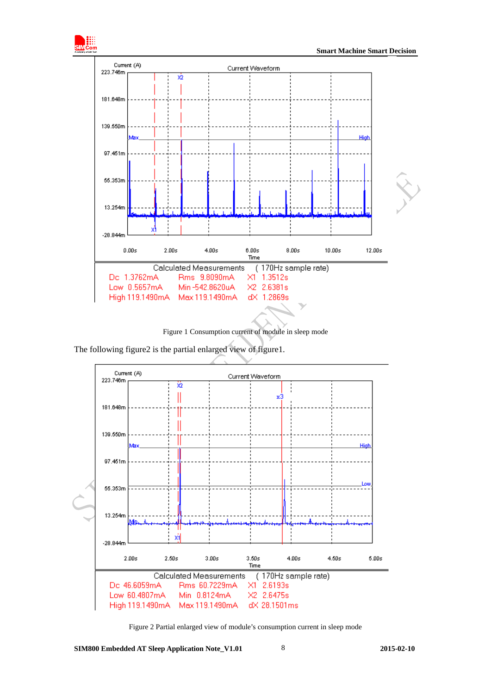

Figure 1 Consumption current of module in sleep mode

The following figure2 is the partial enlarged view of figure1.



Figure 2 Partial enlarged view of module's consumption current in sleep mode

**SIM800 Embedded AT Sleep Application Note\_V1.01 2015-02-10** 8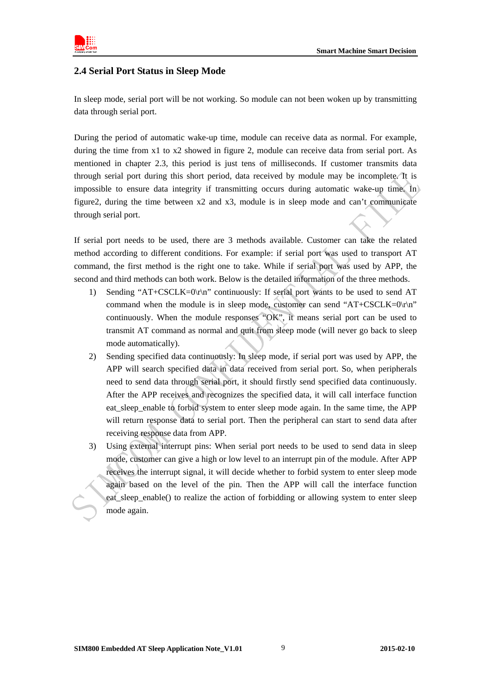

### <span id="page-8-0"></span>**2.4 Serial Port Status in Sleep Mode**

In sleep mode, serial port will be not working. So module can not been woken up by transmitting data through serial port.

During the period of automatic wake-up time, module can receive data as normal. For example, during the time from x1 to x2 showed in figure 2, module can receive data from serial port. As mentioned in chapter 2.3, this period is just tens of milliseconds. If customer transmits data through serial port during this short period, data received by module may be incomplete. It is impossible to ensure data integrity if transmitting occurs during automatic wake-up time. In figure2, during the time between x2 and x3, module is in sleep mode and can't communicate through serial port.

If serial port needs to be used, there are 3 methods available. Customer can take the related method according to different conditions. For example: if serial port was used to transport AT command, the first method is the right one to take. While if serial port was used by APP, the second and third methods can both work. Below is the detailed information of the three methods.

- 1) Sending "AT+CSCLK=0\r\n" continuously: If serial port wants to be used to send AT command when the module is in sleep mode, customer can send " $AT+CSCLK=0\r\cdot n$ " continuously. When the module responses "OK", it means serial port can be used to transmit AT command as normal and quit from sleep mode (will never go back to sleep mode automatically).
- 2) Sending specified data continuously: In sleep mode, if serial port was used by APP, the APP will search specified data in data received from serial port. So, when peripherals need to send data through serial port, it should firstly send specified data continuously. After the APP receives and recognizes the specified data, it will call interface function eat\_sleep\_enable to forbid system to enter sleep mode again. In the same time, the APP will return response data to serial port. Then the peripheral can start to send data after receiving response data from APP.
- 3) Using external interrupt pins: When serial port needs to be used to send data in sleep mode, customer can give a high or low level to an interrupt pin of the module. After APP receives the interrupt signal, it will decide whether to forbid system to enter sleep mode again based on the level of the pin. Then the APP will call the interface function eat sleep enable() to realize the action of forbidding or allowing system to enter sleep mode again.